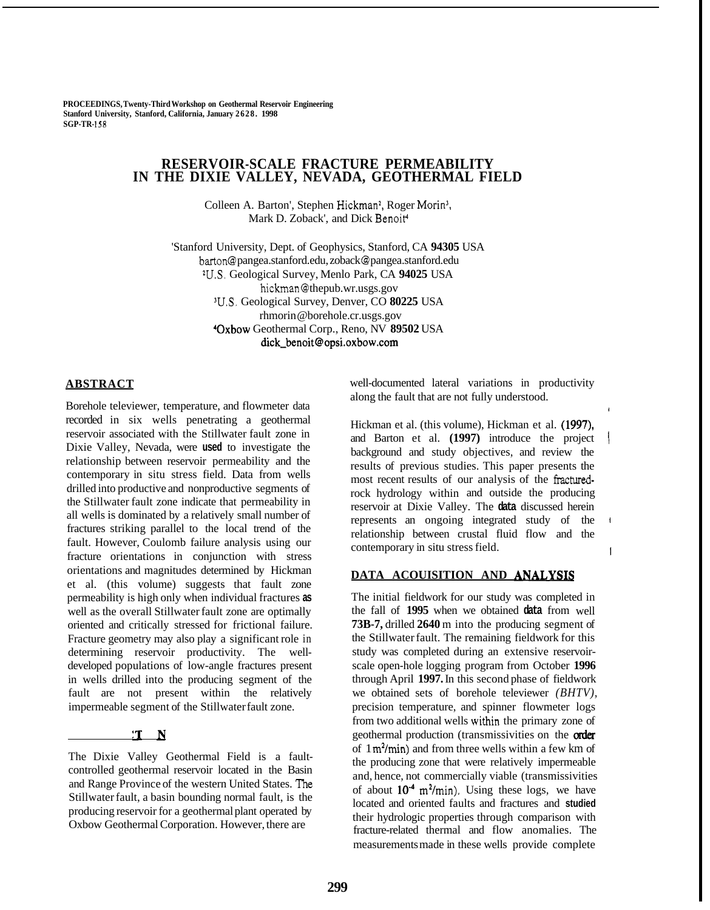**PROCEEDINGS, Twenty-Third Workshop on Geothermal Reservoir Engineering Stanford University, Stanford, California, January 2628. 1998 SGP-TR- 158** 

# **RESERVOIR-SCALE FRACTURE PERMEABILITY IN THE DIXIE VALLEY, NEVADA, GEOTHERMAL FIELD**

Colleen A. Barton', Stephen Hickman<sup>2</sup>, Roger Morin<sup>3</sup>, Mark D. Zoback', and Dick Benoit<sup>4</sup>

'Stanford University, Dept. of Geophysics, Stanford, CA **94305** USA barton @ [pangea.stanford.edu,](http://pangea.stanford.edu) zoback @ [pangea.stanford.edu](http://pangea.stanford.edu) W.S. Geological Survey, Menlo Park, CA **94025** USA hickman[@ thepub.wr.usgs.gov](http://thepub.wr.usgs.gov) W.S. Geological Survey, Denver, CO **80225** USA rhmorin [@borehole.cr.usgs.gov](mailto:borehole.cr.usgs.gov) 40~bo~ Geothermal Corp., Reno, NV **89502** USA **[dick-benoit@opsi.oxbow.com](mailto:dick-benoit@opsi.oxbow.com)** 

### **ABSTRACT**

Borehole televiewer, temperature, and flowmeter data recorded in six wells penetrating a geothermal reservoir associated with the Stillwater fault zone in Dixie Valley, Nevada, were **used** to investigate the relationship between reservoir permeability and the contemporary in situ stress field. Data from wells drilled into productive and nonproductive segments of the Stillwater fault zone indicate that permeability in all wells is dominated by a relatively small number of fractures striking parallel to the local trend of the fault. However, Coulomb failure analysis using our fracture orientations in conjunction with stress orientations and magnitudes determined by Hickman et al. (this volume) suggests that fault zone permeability is high only when individual fractures **as**  well as the overall Stillwater fault zone are optimally oriented and critically stressed for frictional failure. Fracture geometry may also play a significant role in determining reservoir productivity. The welldeveloped populations of low-angle fractures present in wells drilled into the producing segment of the fault are not present within the relatively impermeable segment of the Stillwater fault zone.

### $T_N$

The Dixie Valley Geothermal Field is a faultcontrolled geothermal reservoir located in the Basin and Range Province of the western United States. The Stillwater fault, a basin bounding normal fault, is the producing reservoir for a geothermal plant operated by Oxbow Geothermal Corporation. However, there are

well-documented lateral variations in productivity along the fault that are not fully understood.

Hickman et al. (this volume), Hickman et al. **(1997),**  and Barton et al. (1997) introduce the project background and study objectives, and review the results of previous studies. This paper presents the most recent results of our analysis of the fracturedrock hydrology within and outside the producing reservoir at Dixie Valley. The **data** discussed herein represents an ongoing integrated study of the <sup>1</sup> relationship between crustal fluid flow and the In contemporary in situ stress field.

#### **DATA ACOUISITION AND ANALYSIS**

The initial fieldwork for our study was completed in the fall of **1995** when we obtained **data** from well **73B-7,** drilled **2640** m into the producing segment of the Stillwater fault. The remaining fieldwork for this study was completed during an extensive reservoirscale open-hole logging program from October **1996**  through April **1997.** In this second phase of fieldwork we obtained sets of borehole televiewer *(BHTV),*  precision temperature, and spinner flowmeter logs from two additional wells within the primary zone of geothermal production (transmissivities on the *ofiler*  of  $1 \text{ m}^2/\text{min}$ ) and from three wells within a few km of the producing zone that were relatively impermeable and, hence, not commercially viable (transmissivities of about **lo'\*** m'/min). Using these logs, we have located and oriented faults and fractures and **studied**  their hydrologic properties through comparison with fracture-related thermal and flow anomalies. The measurements made in these wells provide complete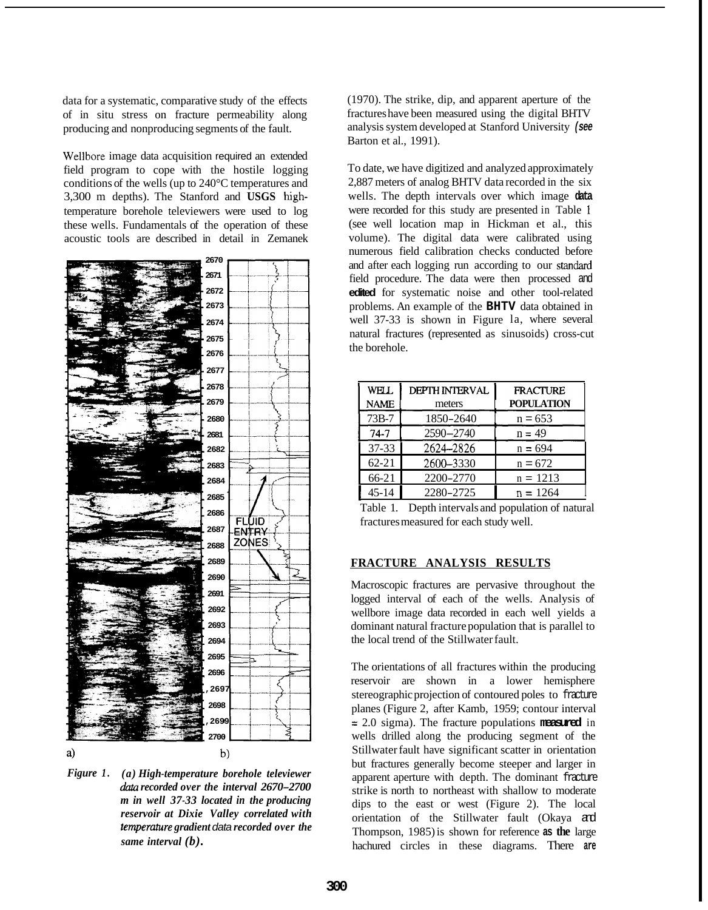data for a systematic, comparative study of the effects of in situ stress on fracture permeability along producing and nonproducing segments of the fault.

Wellbore image data acquisition required an extended field program to cope with the hostile logging conditions of the wells (up to 240°C temperatures and 3,300 m depths). The Stanford and **USGS** hghtemperature borehole televiewers were used to log these wells. Fundamentals of the operation of these acoustic tools are described in detail in Zemanek



*Figure 1. (a) High-temperature borehole televiewer data recorded over the interval 2670-2700 m in well 37-33 located in the producing reservoir at Dixie Valley correlated with temperature gradient data recorded over the same interval (b).* 

(1970). The strike, dip, and apparent aperture of the fractures have been measured using the digital BHTV analysis system developed at Stanford University *(see*  Barton et al., 1991).

To date, we have digitized and analyzed approximately 2,887 meters of analog BHTV data recorded in the six wells. The depth intervals over which image **data**  were recorded for this study are presented in Table 1 (see well location map in Hickman et al., this volume). The digital data were calibrated using numerous field calibration checks conducted before and after each logging run according to our standard field procedure. The data were then processed and **edited** for systematic noise and other tool-related problems. An example of the **BHTV** data obtained in well 37-33 is shown in Figure la, where several natural fractures (represented as sinusoids) cross-cut the borehole.

| WELL        | <b>DEPTH INTERVAL</b> | <b>FRACTURE</b>   |
|-------------|-----------------------|-------------------|
| <b>NAME</b> | meters                | <b>POPULATION</b> |
| 73B-7       | 1850-2640             | $n = 653$         |
| $74 - 7$    | 2590-2740             | $n = 49$          |
| $37 - 33$   | 2624-2826             | $n = 694$         |
| $62 - 21$   | 2600-3330             | $n = 672$         |
| 66-21       | 2200-2770             | $n = 1213$        |
| $45 - 14$   | 2280-2725             | $n = 1264$        |

Table 1. Depth intervals and population of natural fractures measured for each study well.

#### **FRACTURE ANALYSIS RESULTS**

Macroscopic fractures are pervasive throughout the logged interval of each of the wells. Analysis of wellbore image data recorded in each well yields a dominant natural fracture population that is parallel to the local trend of the Stillwater fault.

The orientations of all fractures within the producing reservoir are shown in a lower hemisphere stereographic projection of contoured poles to fracture planes (Figure 2, after Kamb, 1959; contour interval = 2.0 sigma). The fracture populations **measured** in wells drilled along the producing segment of the Stillwater fault have significant scatter in orientation but fractures generally become steeper and larger in apparent aperture with depth. The dominant fracture strike is north to northeast with shallow to moderate dips to the east or west (Figure 2). The local orientation of the Stillwater fault (Okaya and Thompson, 1985) is shown for reference **as the** large hachured circles in these diagrams. There **are**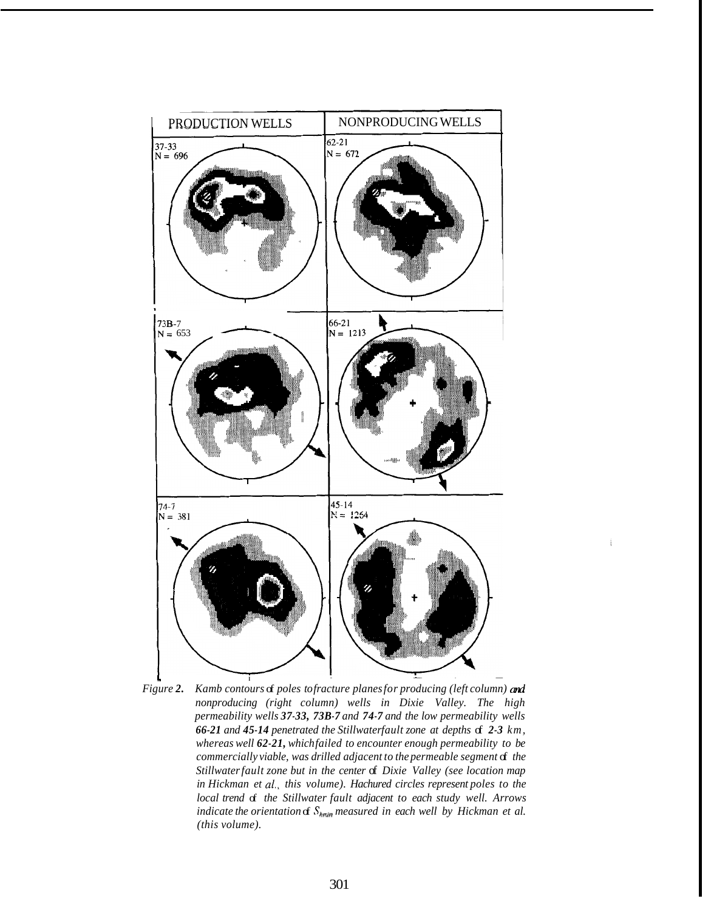<span id="page-2-0"></span>

*Figure 2. Kamb contours of poles to fracture planes for producing (left column)* and *nonproducing (right column) wells in Dixie Valley. The high permeability wells 37-33, 73B-7 and 74-7 and the low permeability wells 66-21 and 45-14 penetrated the Stillwaterfault zone at depths of 2-3 km, whereas well 62-21, which failed to encounter enough permeability to be commercially viable, was drilled adjacent to the permeable segment*  $d$  *the Stillwater fault zone but in the center* of *Dixie Valley (see location map in Hickman et al., this volume). Hachured circles represent poles to the local trend of the Stillwater fault adjacent to each study well. Arrows indicate the orientation*  $\mathcal{S}_{h_{\text{min}}}$  *measured in each well by Hickman et al. (this volume).*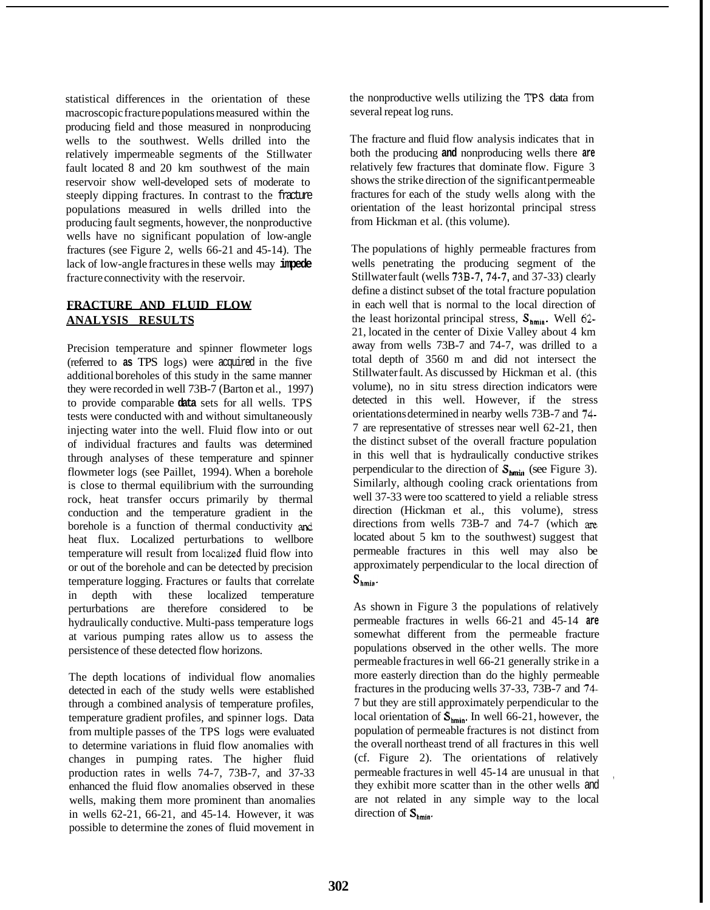statistical differences in the orientation of these macroscopic fracture populations measured within the producing field and those measured in nonproducing wells to the southwest. Wells drilled into the relatively impermeable segments of the Stillwater fault located 8 and 20 km southwest of the main reservoir show well-developed sets of moderate to steeply dipping fractures. In contrast to the fracture populations measured in wells drilled into the producing fault segments, however, the nonproductive wells have no significant population of low-angle fractures (see Figure 2, wells 66-21 and 45-14). The lack of low-angle fractures in these wells may **impede**  fracture connectivity with the reservoir.

## **FRACTURE AND FLUID FLOW ANALYSIS RESULTS**

Precision temperature and spinner flowmeter logs (referred to **as** TPS logs) were acquired in the five additional boreholes of this study in the same manner they were recorded in well 73B-7 (Barton et al., 1997) to provide comparable **data** sets for all wells. TPS tests were conducted with and without simultaneously injecting water into the well. Fluid flow into or out of individual fractures and faults was determined through analyses of these temperature and spinner flowmeter logs (see Paillet, 1994). When a borehole is close to thermal equilibrium with the surrounding rock, heat transfer occurs primarily by thermal conduction and the temperature gradient in the borehole is a function of thermal conductivity and heat flux. Localized perturbations to wellbore temperature will result from localized fluid flow into or out of the borehole and can be detected by precision temperature logging. Fractures or faults that correlate in depth with these localized temperature perturbations are therefore considered to be hydraulically conductive. Multi-pass temperature logs at various pumping rates allow us to assess the persistence of these detected flow horizons.

The depth locations of individual flow anomalies detected in each of the study wells were established through a combined analysis of temperature profiles, temperature gradient profiles, and spinner logs. Data from multiple passes of the TPS logs were evaluated to determine variations in fluid flow anomalies with changes in pumping rates. The higher fluid production rates in wells 74-7, 73B-7, and 37-33 enhanced the fluid flow anomalies observed in these wells, making them more prominent than anomalies in wells 62-21, 66-21, and 45-14. However, it was possible to determine the zones of fluid movement in

the nonproductive wells utilizing the **TPS** data from several repeat log runs.

The fracture and fluid flow analysis indicates that in both the producing **and** nonproducing wells there **are**  relatively few fractures that dominate flow. [Figure 3](#page-4-0) shows the strike direction of the significant permeable fractures for each of the study wells along with the orientation of the least horizontal principal stress from Hickman et al. (this volume).

The populations of highly permeable fractures from wells penetrating the producing segment of the Stillwater fault (wells 73B-7, 74-7, and 37-33) clearly define a distinct subset of the total fracture population in each well that is normal to the local direction of the least horizontal principal stress,  $S_{hmin}$ . Well 62-21, located in the center of Dixie Valley about 4 km away from wells 73B-7 and 74-7, was drilled to a total depth of 3560 m and did not intersect the Stillwater fault. As discussed by Hickman et al. (this volume), no in situ stress direction indicators were detected in this well. However, if the stress orientations determined in nearby wells 73B-7 and 74- 7 are representative of stresses near well 62-21, then the distinct subset of the overall fracture population in this well that is hydraulically conductive strikes perpendicular to the direction of  $S_{\text{hmin}}$  (see Figure 3). Similarly, although cooling crack orientations from well 37-33 were too scattered to yield a reliable stress direction (Hickman et al., this volume), stress directions from wells 73B-7 and 74-7 (which **are**  located about 5 km to the southwest) suggest that permeable fractures in this well may also be approximately perpendicular to the local direction of  $S_{hmin}$ .

As shown in [Figure 3](#page-4-0) the populations of relatively permeable fractures in wells 66-21 and 45-14 **are**  somewhat different from the permeable fracture populations observed in the other wells. The more permeable fractures in well 66-21 generally strike in a more easterly direction than do the highly permeable fractures in the producing wells 37-33, 73B-7 and 74- 7 but they are still approximately perpendicular to the local orientation of  $S_{hmin}$ . In well 66-21, however, the population of permeable fractures is not distinct from the overall northeast trend of all fractures in this well (cf. Figure 2). The orientations of relatively permeable fractures in well 45-14 are unusual in that they exhibit more scatter than in the other wells and are not related in any simple way to the local direction of  $S_{hmin}$ .

,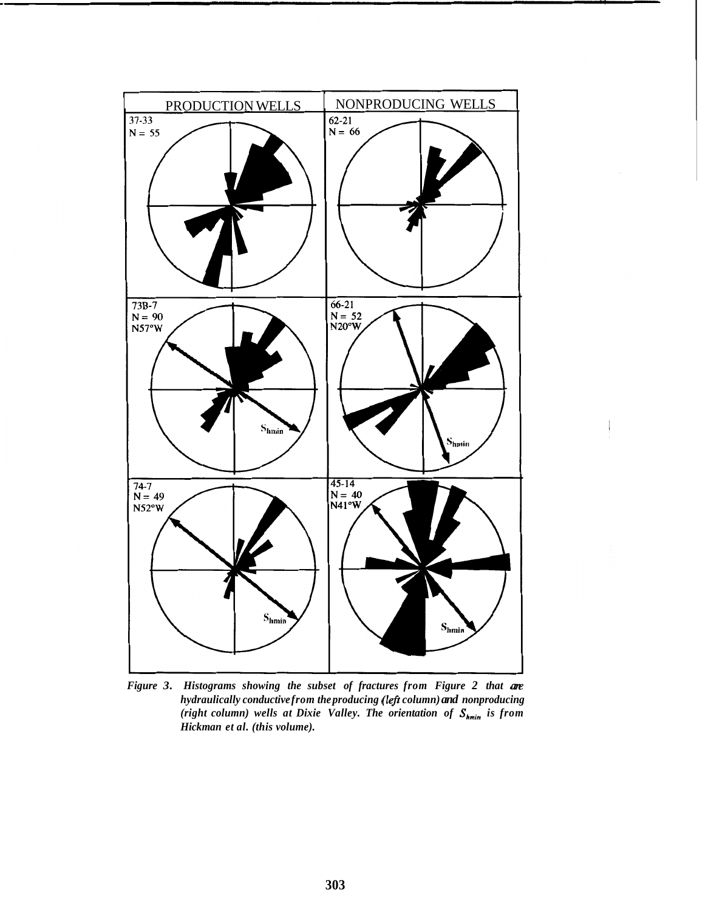<span id="page-4-0"></span>

*Figure 3. Histograms showing the subset of fractures from [Figure 2](#page-2-0) that are hydraulically conductive from the producing (lefr column) and nonproducing (right column) wells at Dixie Valley. The orientation of Shmin is from Hickman et al. (this volume).*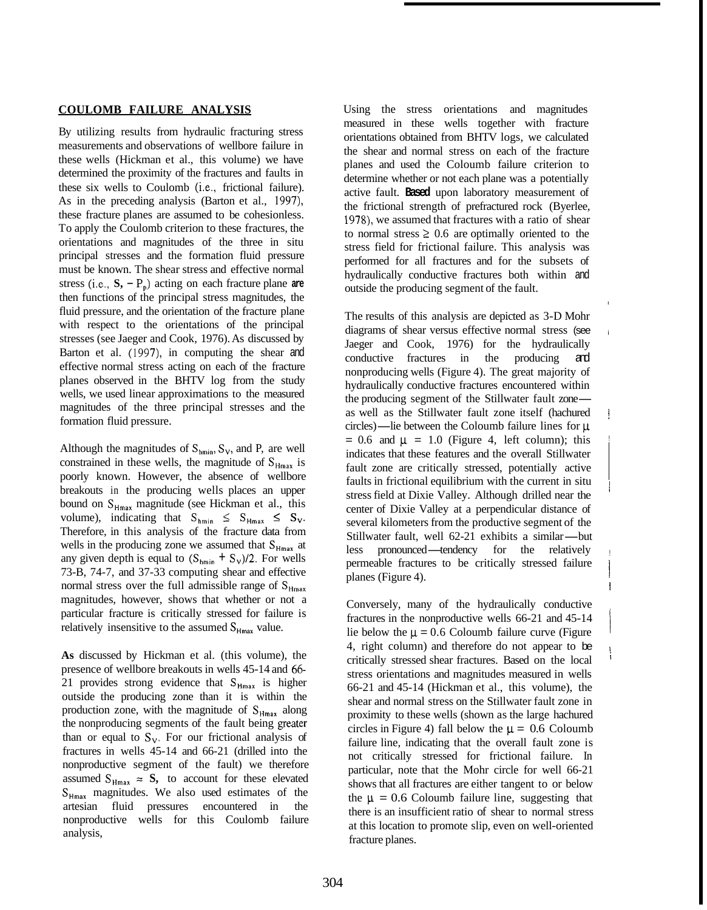#### **COULOMB FAILURE ANALYSIS**

By utilizing results from hydraulic fracturing stress measurements and observations of wellbore failure in these wells (Hickman et al., this volume) we have determined the proximity of the fractures and faults in these six wells to Coulomb (i.e., frictional failure). As in the preceding analysis (Barton et al., 1997), these fracture planes are assumed to be cohesionless. To apply the Coulomb criterion to these fractures, the orientations and magnitudes of the three in situ principal stresses and the formation fluid pressure must be known. The shear stress and effective normal stress (i.e.,  $S_2 - P_p$ ) acting on each fracture plane are then functions of the principal stress magnitudes, the fluid pressure, and the orientation of the fracture plane with respect to the orientations of the principal stresses (see Jaeger and Cook, 1976). As discussed by Barton et al. (1997), in computing the shear and effective normal stress acting on each of the fracture planes observed in the BHTV log from the study wells, we used linear approximations to the measured magnitudes of the three principal stresses and the formation fluid pressure.

Although the magnitudes of  $S_{\text{hmin}}$ ,  $S_{\text{V}}$ , and P, are well constrained in these wells, the magnitude of  $S_{Hmax}$  is poorly known. However, the absence of wellbore breakouts in the producing wells places an upper bound on S<sub>Hmax</sub> magnitude (see Hickman et al., this volume), indicating that  $S_{hmin} \leq S_{Hmax} \leq S_v$ . Therefore, in this analysis of the fracture data from wells in the producing zone we assumed that  $S_{Hmax}$  at any given depth is equal to  $(S_{\text{hmin}} + S_{\text{y}})/2$ . For wells 73-B, 74-7, and 37-33 computing shear and effective normal stress over the full admissible range of  $S_{H<sub>max</sub>}$ magnitudes, however, shows that whether or not a particular fracture is critically stressed for failure is relatively insensitive to the assumed  $S_{Hmax}$  value.

**As** discussed by Hickman et al. (this volume), the presence of wellbore breakouts in wells 45-14 and *66-*  21 provides strong evidence that  $S_{Hmax}$  is higher outside the producing zone than it is within the production zone, with the magnitude of  $S_{Hmax}$  along the nonproducing segments of the fault being greater than or equal to  $S_v$ . For our frictional analysis of fractures in wells 45-14 and 66-21 (drilled into the nonproductive segment of the fault) we therefore assumed  $S_{Hmax} \approx S$ , to account for these elevated **SHmax** magnitudes. We also used estimates of the artesian fluid pressures encountered in the nonproductive wells for this Coulomb failure analysis,

Using the stress orientations and magnitudes measured in these wells together with fracture orientations obtained from BHTV logs, we calculated the shear and normal stress on each of the fracture planes and used the Coloumb failure criterion to determine whether or not each plane was a potentially active fault. **Based** upon laboratory measurement of the frictional strength of prefractured rock (Byerlee, 1978), we assumed that fractures with a ratio of shear to normal stress  $\geq 0.6$  are optimally oriented to the stress field for frictional failure. This analysis was performed for all fractures and for the subsets of hydraulically conductive fractures both within and outside the producing segment of the fault.

I

i

!

I i

!

I

! I

The results of this analysis are depicted as 3-D Mohr diagrams of shear versus effective normal stress (see Jaeger and Cook, 1976) for the hydraulically conductive fractures in the producing and nonproducing wells (Figure 4). The great majority of hydraulically conductive fractures encountered within nonproducing wells (Figure 4). The great majority of<br>hydraulically conductive fractures encountered within<br>the producing segment of the Stillwater fault zone-<br>as well as the Stillwater foult zone itself (beekwad as well as the Stillwater fault zone itself (hachured the producing segment of the Stillwater fault zone—as well as the Stillwater fault zone itself (hachured circles)—lie between the Coloumb failure lines for  $\mu$  $= 0.6$  and  $\mu = 1.0$  (Figure 4, left column); this indicates that these features and the overall Stillwater fault zone are critically stressed, potentially active faults in frictional equilibrium with the current in situ stress field at Dixie Valley. Although drilled near the center of Dixie Valley at a perpendicular distance of several kilometers from the productive segment of the center of Dixie Valley at a perpendicular distance of<br>several kilometers from the productive segment of the<br>Stillwater fault, well 62-21 exhibits a similar—but<br>less represented to the product of the relatively. several kilometers from the productive segment of the<br>Stillwater fault, well 62-21 exhibits a similar—but<br>less pronounced—tendency for the relatively<br>normaable fractures to be exitially stressed follows permeable fractures to be critically stressed failure planes (Figure 4).

Conversely, many of the hydraulically conductive fractures in the nonproductive wells 66-21 and 45-14 lie below the  $\mu = 0.6$  Coloumb failure curve (Figure 4, right column) and therefore do not appear to be critically stressed shear fractures. Based on the local stress orientations and magnitudes measured in wells 66-21 and 45-14 (Hickman et al., this volume), the shear and normal stress on the Stillwater fault zone in proximity to these wells (shown as the large hachured circles in Figure 4) fall below the  $\mu = 0.6$  Coloumb failure line, indicating that the overall fault zone is not critically stressed for frictional failure. In particular, note that the Mohr circle for well 66-21 shows that all fractures are either tangent to or below the  $\mu = 0.6$  Coloumb failure line, suggesting that there is an insufficient ratio of shear to normal stress at this location to promote slip, even on well-oriented fracture planes.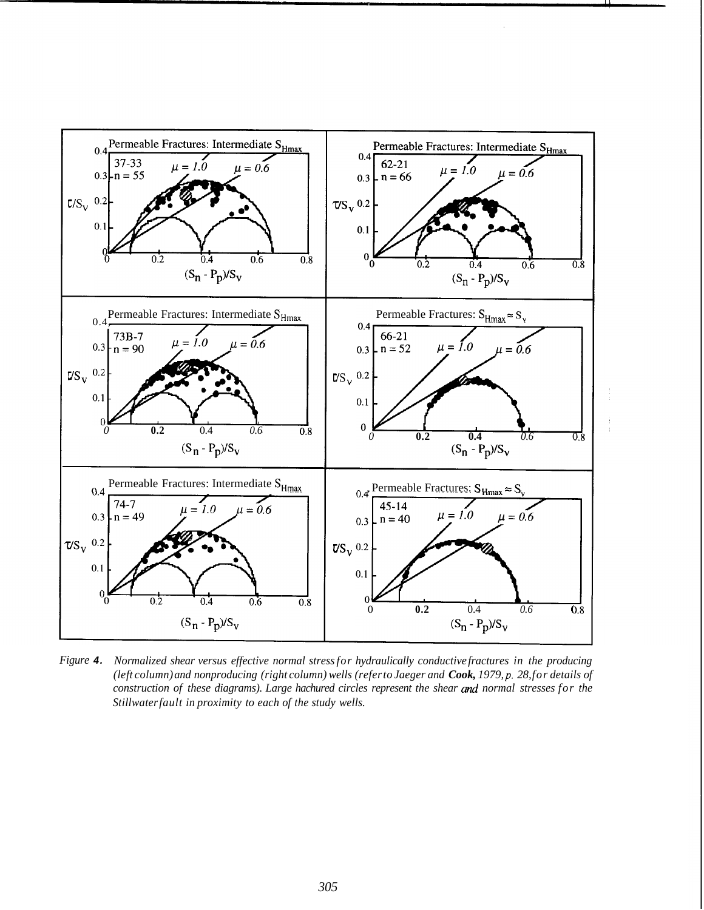

*Figure 4. Normalized shear versus effective normal stress for hydraulically conductive fractures in the producing (left column) and nonproducing (right column) wells (refer to Jaeger and Cook, 1979, p. 28, for details of construction of these diagrams). Large hachured circles represent the shear and normal stresses for the Stillwater fault in proximity to each of the study wells.*